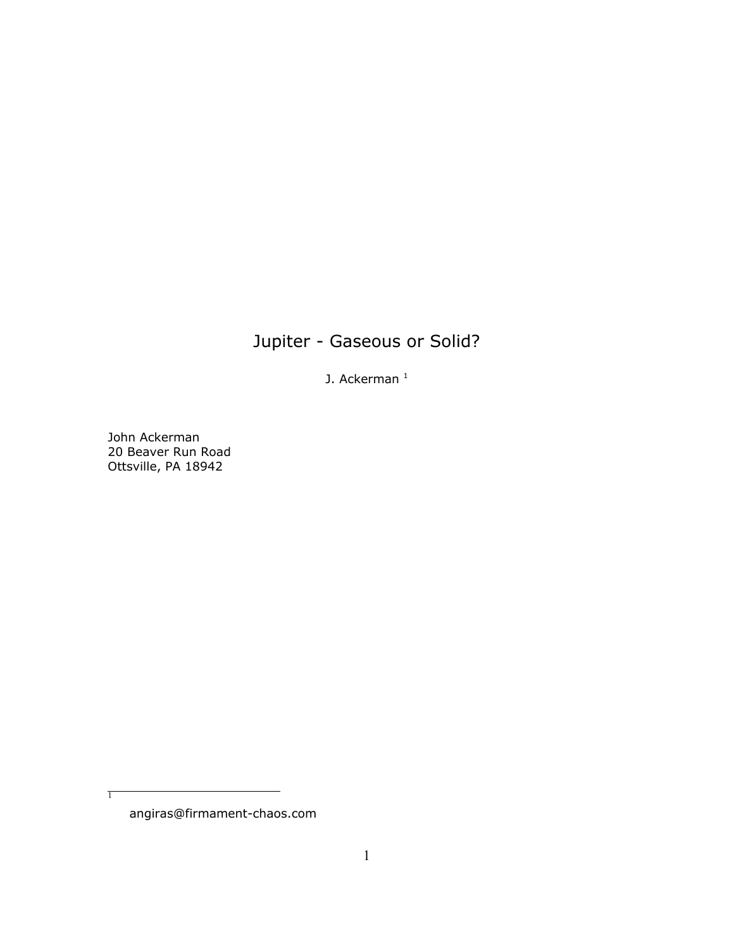# Jupiter - Gaseous or Solid?

J. Ackerman $<sup>1</sup>$ </sup>

John Ackerman 20 Beaver Run Road Ottsville, PA 18942

angiras@firmament-chaos.com

 $\overline{1}$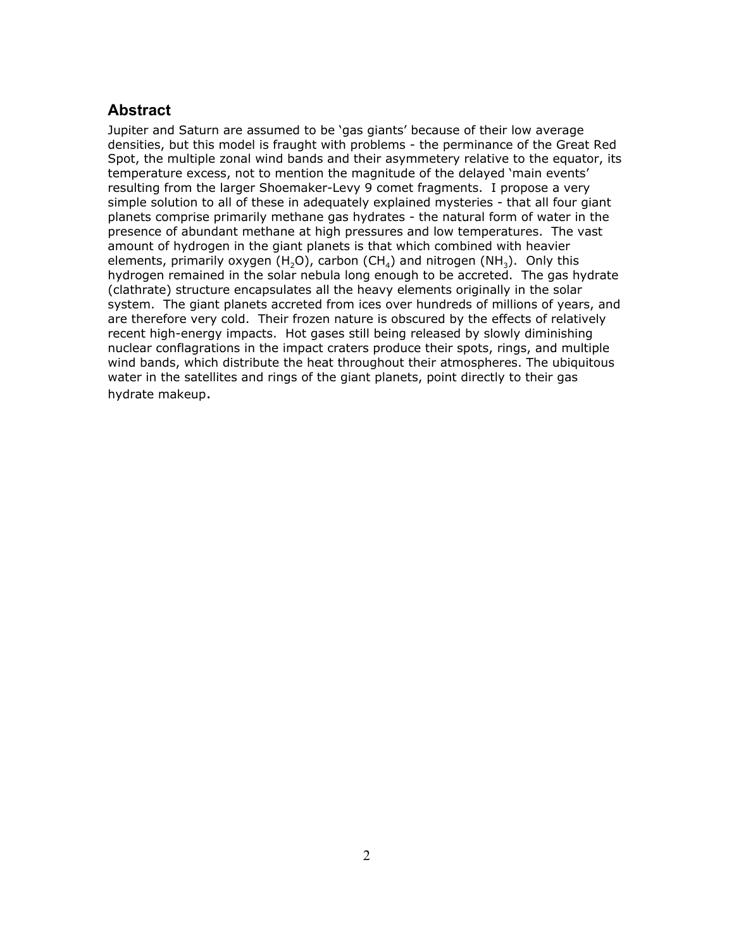# **Abstract**

Jupiter and Saturn are assumed to be 'gas giants' because of their low average densities, but this model is fraught with problems - the perminance of the Great Red Spot, the multiple zonal wind bands and their asymmetery relative to the equator, its temperature excess, not to mention the magnitude of the delayed 'main events' resulting from the larger Shoemaker-Levy 9 comet fragments. I propose a very simple solution to all of these in adequately explained mysteries - that all four giant planets comprise primarily methane gas hydrates - the natural form of water in the presence of abundant methane at high pressures and low temperatures. The vast amount of hydrogen in the giant planets is that which combined with heavier elements, primarily oxygen (H<sub>2</sub>O), carbon (CH<sub>4</sub>) and nitrogen (NH<sub>3</sub>). Only this hydrogen remained in the solar nebula long enough to be accreted. The gas hydrate (clathrate) structure encapsulates all the heavy elements originally in the solar system. The giant planets accreted from ices over hundreds of millions of years, and are therefore very cold. Their frozen nature is obscured by the effects of relatively recent high-energy impacts. Hot gases still being released by slowly diminishing nuclear conflagrations in the impact craters produce their spots, rings, and multiple wind bands, which distribute the heat throughout their atmospheres. The ubiquitous water in the satellites and rings of the giant planets, point directly to their gas hydrate makeup.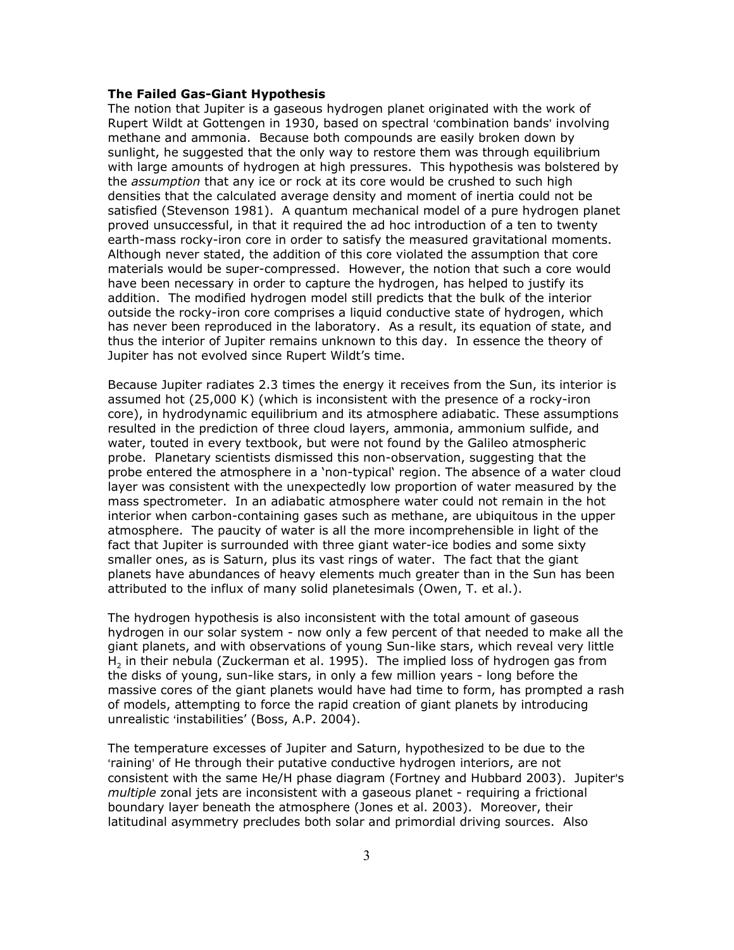### **The Failed Gas-Giant Hypothesis**

The notion that Jupiter is a gaseous hydrogen planet originated with the work of Rupert Wildt at Gottengen in 1930, based on spectral 'combination bands' involving methane and ammonia. Because both compounds are easily broken down by sunlight, he suggested that the only way to restore them was through equilibrium with large amounts of hydrogen at high pressures. This hypothesis was bolstered by the *assumption* that any ice or rock at its core would be crushed to such high densities that the calculated average density and moment of inertia could not be satisfied (Stevenson 1981). A quantum mechanical model of a pure hydrogen planet proved unsuccessful, in that it required the ad hoc introduction of a ten to twenty earth-mass rocky-iron core in order to satisfy the measured gravitational moments. Although never stated, the addition of this core violated the assumption that core materials would be super-compressed. However, the notion that such a core would have been necessary in order to capture the hydrogen, has helped to justify its addition. The modified hydrogen model still predicts that the bulk of the interior outside the rocky-iron core comprises a liquid conductive state of hydrogen, which has never been reproduced in the laboratory. As a result, its equation of state, and thus the interior of Jupiter remains unknown to this day. In essence the theory of Jupiter has not evolved since Rupert Wildt's time.

Because Jupiter radiates 2.3 times the energy it receives from the Sun, its interior is assumed hot (25,000 K) (which is inconsistent with the presence of a rocky-iron core), in hydrodynamic equilibrium and its atmosphere adiabatic. These assumptions resulted in the prediction of three cloud layers, ammonia, ammonium sulfide, and water, touted in every textbook, but were not found by the Galileo atmospheric probe. Planetary scientists dismissed this non-observation, suggesting that the probe entered the atmosphere in a 'non-typical' region. The absence of a water cloud layer was consistent with the unexpectedly low proportion of water measured by the mass spectrometer. In an adiabatic atmosphere water could not remain in the hot interior when carbon-containing gases such as methane, are ubiquitous in the upper atmosphere. The paucity of water is all the more incomprehensible in light of the fact that Jupiter is surrounded with three giant water-ice bodies and some sixty smaller ones, as is Saturn, plus its vast rings of water. The fact that the giant planets have abundances of heavy elements much greater than in the Sun has been attributed to the influx of many solid planetesimals (Owen, T. et al.).

The hydrogen hypothesis is also inconsistent with the total amount of gaseous hydrogen in our solar system - now only a few percent of that needed to make all the giant planets, and with observations of young Sun-like stars, which reveal very little H<sub>2</sub> in their nebula (Zuckerman et al. 1995). The implied loss of hydrogen gas from the disks of young, sun-like stars, in only a few million years - long before the massive cores of the giant planets would have had time to form, has prompted a rash of models, attempting to force the rapid creation of giant planets by introducing unrealistic 'instabilities' (Boss, A.P. 2004).

The temperature excesses of Jupiter and Saturn, hypothesized to be due to the >raining= of He through their putative conductive hydrogen interiors, are not consistent with the same He/H phase diagram (Fortney and Hubbard 2003). Jupiter's *multiple* zonal jets are inconsistent with a gaseous planet - requiring a frictional boundary layer beneath the atmosphere (Jones et al. 2003). Moreover, their latitudinal asymmetry precludes both solar and primordial driving sources. Also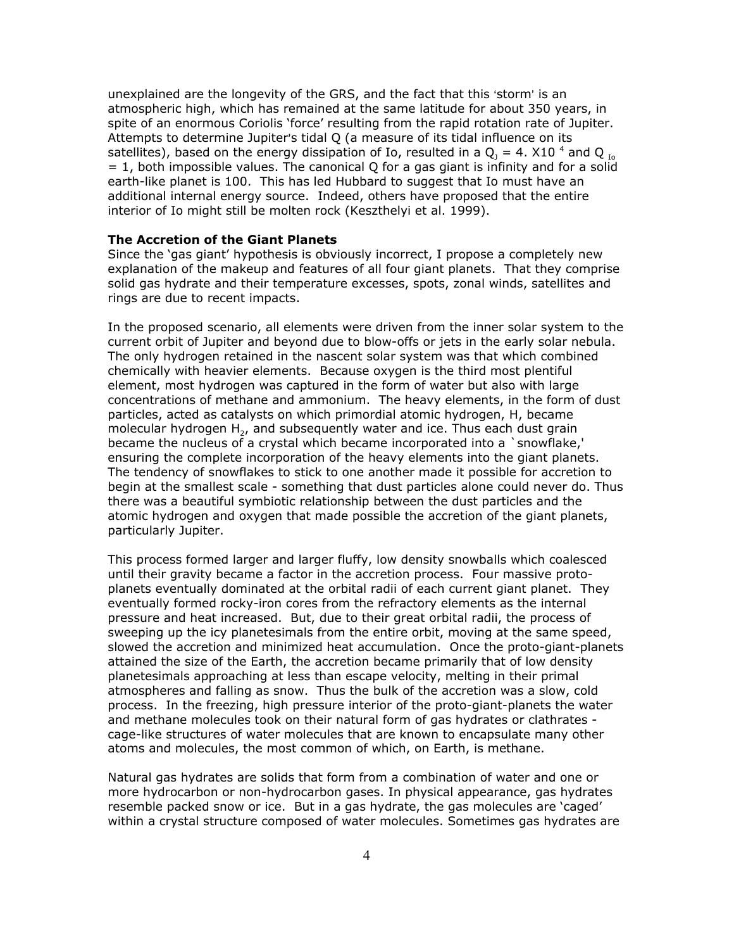unexplained are the longevity of the GRS, and the fact that this 'storm' is an atmospheric high, which has remained at the same latitude for about 350 years, in spite of an enormous Coriolis 'force' resulting from the rapid rotation rate of Jupiter. Attempts to determine Jupiter's tidal Q (a measure of its tidal influence on its satellites), based on the energy dissipation of Io, resulted in a  $Q_{\text{\tiny{J}}}$  = 4. X10 <sup>4</sup> and Q  $_{\text{\tiny{Io}}}$  $= 1$ , both impossible values. The canonical Q for a gas giant is infinity and for a solid earth-like planet is 100. This has led Hubbard to suggest that Io must have an additional internal energy source. Indeed, others have proposed that the entire interior of Io might still be molten rock (Keszthelyi et al. 1999).

# **The Accretion of the Giant Planets**

Since the 'gas giant' hypothesis is obviously incorrect, I propose a completely new explanation of the makeup and features of all four giant planets. That they comprise solid gas hydrate and their temperature excesses, spots, zonal winds, satellites and rings are due to recent impacts.

In the proposed scenario, all elements were driven from the inner solar system to the current orbit of Jupiter and beyond due to blow-offs or jets in the early solar nebula. The only hydrogen retained in the nascent solar system was that which combined chemically with heavier elements. Because oxygen is the third most plentiful element, most hydrogen was captured in the form of water but also with large concentrations of methane and ammonium. The heavy elements, in the form of dust particles, acted as catalysts on which primordial atomic hydrogen, H, became molecular hydrogen  $H_{2}$ , and subsequently water and ice. Thus each dust grain became the nucleus of a crystal which became incorporated into a `snowflake,' ensuring the complete incorporation of the heavy elements into the giant planets. The tendency of snowflakes to stick to one another made it possible for accretion to begin at the smallest scale - something that dust particles alone could never do. Thus there was a beautiful symbiotic relationship between the dust particles and the atomic hydrogen and oxygen that made possible the accretion of the giant planets, particularly Jupiter.

This process formed larger and larger fluffy, low density snowballs which coalesced until their gravity became a factor in the accretion process. Four massive protoplanets eventually dominated at the orbital radii of each current giant planet. They eventually formed rocky-iron cores from the refractory elements as the internal pressure and heat increased. But, due to their great orbital radii, the process of sweeping up the icy planetesimals from the entire orbit, moving at the same speed, slowed the accretion and minimized heat accumulation. Once the proto-giant-planets attained the size of the Earth, the accretion became primarily that of low density planetesimals approaching at less than escape velocity, melting in their primal atmospheres and falling as snow. Thus the bulk of the accretion was a slow, cold process. In the freezing, high pressure interior of the proto-giant-planets the water and methane molecules took on their natural form of gas hydrates or clathrates cage-like structures of water molecules that are known to encapsulate many other atoms and molecules, the most common of which, on Earth, is methane.

Natural gas hydrates are solids that form from a combination of water and one or more hydrocarbon or non-hydrocarbon gases. In physical appearance, gas hydrates resemble packed snow or ice. But in a gas hydrate, the gas molecules are 'caged' within a crystal structure composed of water molecules. Sometimes gas hydrates are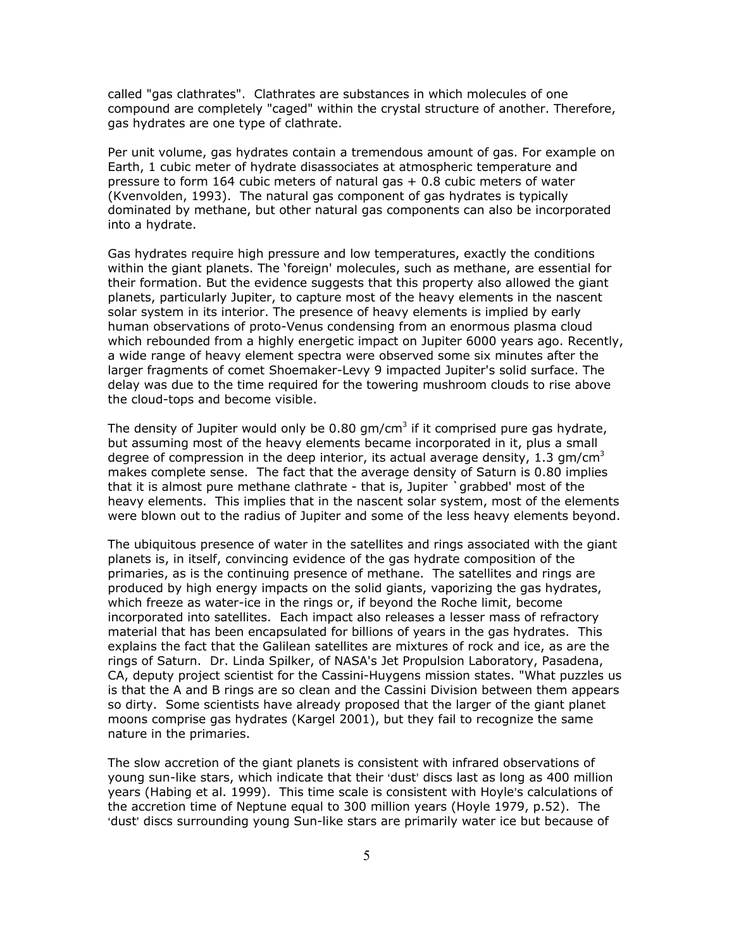called "gas clathrates". Clathrates are substances in which molecules of one compound are completely "caged" within the crystal structure of another. Therefore, gas hydrates are one type of clathrate.

Per unit volume, gas hydrates contain a tremendous amount of gas. For example on Earth, 1 cubic meter of hydrate disassociates at atmospheric temperature and pressure to form 164 cubic meters of natural gas + 0.8 cubic meters of water (Kvenvolden, 1993). The natural gas component of gas hydrates is typically dominated by methane, but other natural gas components can also be incorporated into a hydrate.

Gas hydrates require high pressure and low temperatures, exactly the conditions within the giant planets. The 'foreign' molecules, such as methane, are essential for their formation. But the evidence suggests that this property also allowed the giant planets, particularly Jupiter, to capture most of the heavy elements in the nascent solar system in its interior. The presence of heavy elements is implied by early human observations of proto-Venus condensing from an enormous plasma cloud which rebounded from a highly energetic impact on Jupiter 6000 years ago. Recently, a wide range of heavy element spectra were observed some six minutes after the larger fragments of comet Shoemaker-Levy 9 impacted Jupiter's solid surface. The delay was due to the time required for the towering mushroom clouds to rise above the cloud-tops and become visible.

The density of Jupiter would only be 0.80 gm/cm<sup>3</sup> if it comprised pure gas hydrate, but assuming most of the heavy elements became incorporated in it, plus a small degree of compression in the deep interior, its actual average density, 1.3 gm/cm<sup>3</sup> makes complete sense. The fact that the average density of Saturn is 0.80 implies that it is almost pure methane clathrate - that is, Jupiter `grabbed' most of the heavy elements. This implies that in the nascent solar system, most of the elements were blown out to the radius of Jupiter and some of the less heavy elements beyond.

The ubiquitous presence of water in the satellites and rings associated with the giant planets is, in itself, convincing evidence of the gas hydrate composition of the primaries, as is the continuing presence of methane. The satellites and rings are produced by high energy impacts on the solid giants, vaporizing the gas hydrates, which freeze as water-ice in the rings or, if beyond the Roche limit, become incorporated into satellites. Each impact also releases a lesser mass of refractory material that has been encapsulated for billions of years in the gas hydrates. This explains the fact that the Galilean satellites are mixtures of rock and ice, as are the rings of Saturn. Dr. Linda Spilker, of NASA's Jet Propulsion Laboratory, Pasadena, CA, deputy project scientist for the Cassini-Huygens mission states. "What puzzles us is that the A and B rings are so clean and the Cassini Division between them appears so dirty. Some scientists have already proposed that the larger of the giant planet moons comprise gas hydrates (Kargel 2001), but they fail to recognize the same nature in the primaries.

The slow accretion of the giant planets is consistent with infrared observations of young sun-like stars, which indicate that their 'dust' discs last as long as 400 million years (Habing et al. 1999). This time scale is consistent with Hoyle's calculations of the accretion time of Neptune equal to 300 million years (Hoyle 1979, p.52). The 'dust' discs surrounding young Sun-like stars are primarily water ice but because of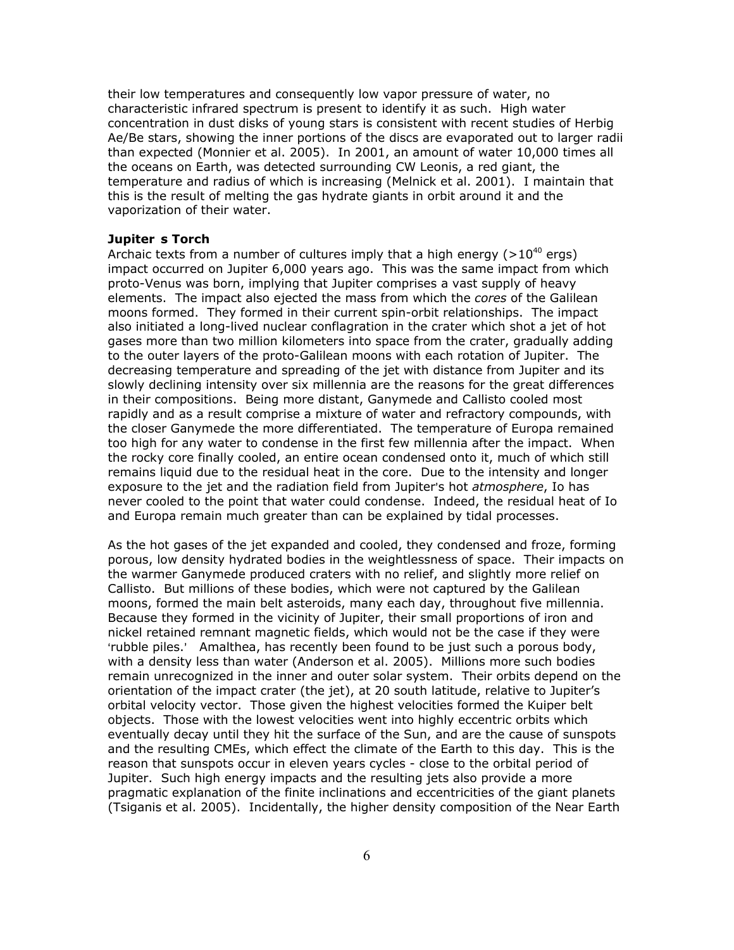their low temperatures and consequently low vapor pressure of water, no characteristic infrared spectrum is present to identify it as such. High water concentration in dust disks of young stars is consistent with recent studies of Herbig Ae/Be stars, showing the inner portions of the discs are evaporated out to larger radii than expected (Monnier et al. 2005). In 2001, an amount of water 10,000 times all the oceans on Earth, was detected surrounding CW Leonis, a red giant, the temperature and radius of which is increasing (Melnick et al. 2001). I maintain that this is the result of melting the gas hydrate giants in orbit around it and the vaporization of their water.

# **Jupiters Torch**

Archaic texts from a number of cultures imply that a high energy  $(>10^{40} \text{ ergs})$ impact occurred on Jupiter 6,000 years ago. This was the same impact from which proto-Venus was born, implying that Jupiter comprises a vast supply of heavy elements. The impact also ejected the mass from which the *cores* of the Galilean moons formed. They formed in their current spin-orbit relationships. The impact also initiated a long-lived nuclear conflagration in the crater which shot a jet of hot gases more than two million kilometers into space from the crater, gradually adding to the outer layers of the proto-Galilean moons with each rotation of Jupiter. The decreasing temperature and spreading of the jet with distance from Jupiter and its slowly declining intensity over six millennia are the reasons for the great differences in their compositions. Being more distant, Ganymede and Callisto cooled most rapidly and as a result comprise a mixture of water and refractory compounds, with the closer Ganymede the more differentiated. The temperature of Europa remained too high for any water to condense in the first few millennia after the impact. When the rocky core finally cooled, an entire ocean condensed onto it, much of which still remains liquid due to the residual heat in the core. Due to the intensity and longer exposure to the jet and the radiation field from Jupiter's hot *atmosphere*, Io has never cooled to the point that water could condense. Indeed, the residual heat of Io and Europa remain much greater than can be explained by tidal processes.

As the hot gases of the jet expanded and cooled, they condensed and froze, forming porous, low density hydrated bodies in the weightlessness of space. Their impacts on the warmer Ganymede produced craters with no relief, and slightly more relief on Callisto. But millions of these bodies, which were not captured by the Galilean moons, formed the main belt asteroids, many each day, throughout five millennia. Because they formed in the vicinity of Jupiter, their small proportions of iron and nickel retained remnant magnetic fields, which would not be the case if they were 'rubble piles.' Amalthea, has recently been found to be just such a porous body, with a density less than water (Anderson et al. 2005). Millions more such bodies remain unrecognized in the inner and outer solar system. Their orbits depend on the orientation of the impact crater (the jet), at 20 south latitude, relative to Jupiter's orbital velocity vector. Those given the highest velocities formed the Kuiper belt objects. Those with the lowest velocities went into highly eccentric orbits which eventually decay until they hit the surface of the Sun, and are the cause of sunspots and the resulting CMEs, which effect the climate of the Earth to this day. This is the reason that sunspots occur in eleven years cycles - close to the orbital period of Jupiter. Such high energy impacts and the resulting jets also provide a more pragmatic explanation of the finite inclinations and eccentricities of the giant planets (Tsiganis et al. 2005). Incidentally, the higher density composition of the Near Earth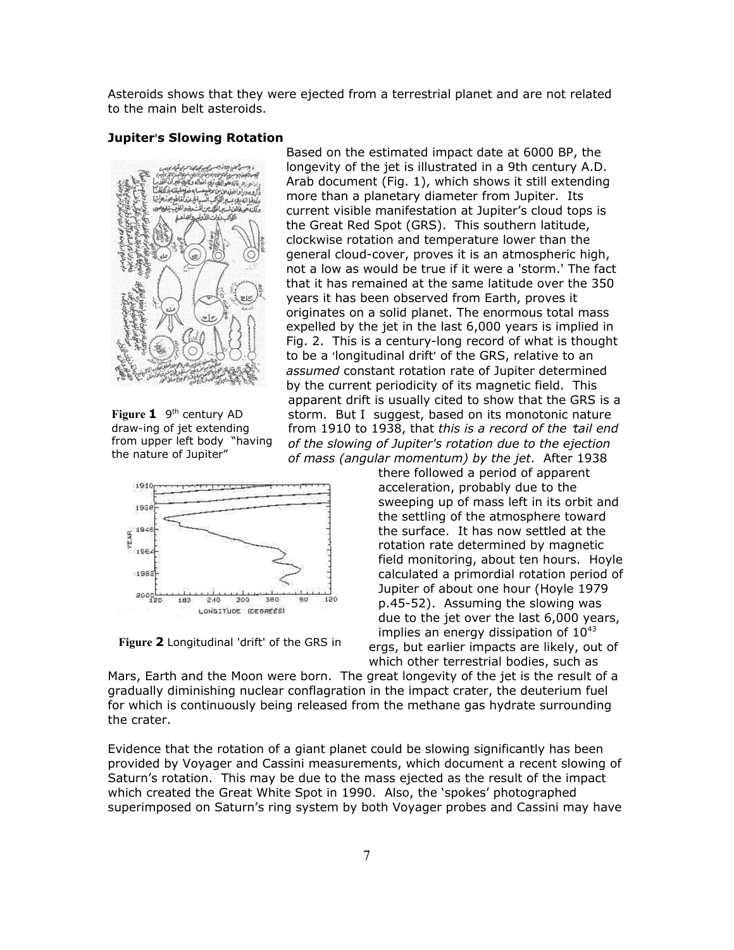Asteroids shows that they were ejected from a terrestrial planet and are not related to the main belt asteroids.

#### **Jupiter's Slowing Rotation**



**Figure 1** 9<sup>th</sup> century AD draw-ing of jet extending from upper left body "having the nature of Jupiter"



**Figure 2** Longitudinal 'drift' of the GRS in

Based on the estimated impact date at 6000 BP, the longevity of the jet is illustrated in a 9th century A.D. Arab document (Fig. 1), which shows it still extending more than a planetary diameter from Jupiter. Its current visible manifestation at Jupiter's cloud tops is the Great Red Spot (GRS). This southern latitude, clockwise rotation and temperature lower than the general cloud-cover, proves it is an atmospheric high, not a low as would be true if it were a 'storm.' The fact that it has remained at the same latitude over the 350 years it has been observed from Earth, proves it originates on a solid planet. The enormous total mass expelled by the jet in the last 6,000 years is implied in Fig. 2. This is a century-long record of what is thought to be a 'longitudinal drift' of the GRS, relative to an *assumed* constant rotation rate of Jupiter determined by the current periodicity of its magnetic field. This apparent drift is usually cited to show that the GRS is a storm. But I suggest, based on its monotonic nature from 1910 to 1938, that *this is a record of the tail end of the slowing of Jupiter's rotation due to the ejection of mass (angular momentum) by the jet*. After 1938

> there followed a period of apparent acceleration, probably due to the sweeping up of mass left in its orbit and the settling of the atmosphere toward the surface. It has now settled at the rotation rate determined by magnetic field monitoring, about ten hours. Hoyle calculated a primordial rotation period of Jupiter of about one hour (Hoyle 1979 p.45-52). Assuming the slowing was due to the jet over the last 6,000 years, implies an energy dissipation of  $10^{43}$ ergs, but earlier impacts are likely, out of which other terrestrial bodies, such as

Mars, Earth and the Moon were born. The great longevity of the jet is the result of a gradually diminishing nuclear conflagration in the impact crater, the deuterium fuel for which is continuously being released from the methane gas hydrate surrounding the crater.

Evidence that the rotation of a giant planet could be slowing significantly has been provided by Voyager and Cassini measurements, which document a recent slowing of Saturn's rotation. This may be due to the mass ejected as the result of the impact which created the Great White Spot in 1990. Also, the 'spokes' photographed superimposed on Saturn's ring system by both Voyager probes and Cassini may have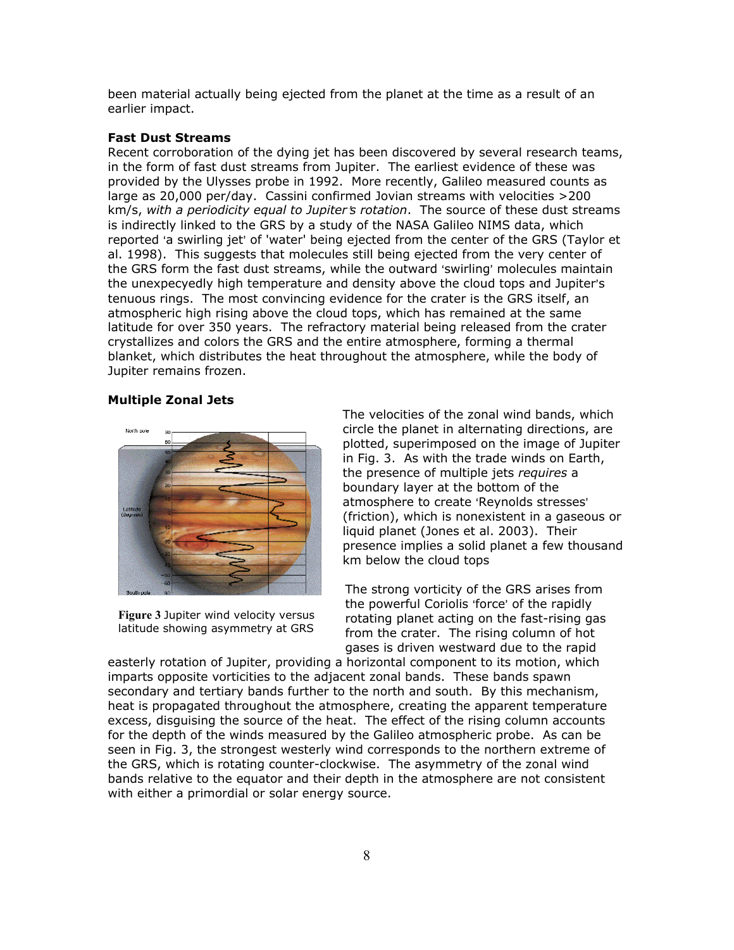been material actually being ejected from the planet at the time as a result of an earlier impact.

# **Fast Dust Streams**

Recent corroboration of the dying jet has been discovered by several research teams, in the form of fast dust streams from Jupiter. The earliest evidence of these was provided by the Ulysses probe in 1992. More recently, Galileo measured counts as large as 20,000 per/day. Cassini confirmed Jovian streams with velocities >200 km/s, with a periodicity equal to Jupiter's rotation. The source of these dust streams is indirectly linked to the GRS by a study of the NASA Galileo NIMS data, which reported 'a swirling jet' of 'water' being ejected from the center of the GRS (Taylor et al. 1998). This suggests that molecules still being ejected from the very center of the GRS form the fast dust streams, while the outward 'swirling' molecules maintain the unexpecyedly high temperature and density above the cloud tops and Jupiter's tenuous rings. The most convincing evidence for the crater is the GRS itself, an atmospheric high rising above the cloud tops, which has remained at the same latitude for over 350 years. The refractory material being released from the crater crystallizes and colors the GRS and the entire atmosphere, forming a thermal blanket, which distributes the heat throughout the atmosphere, while the body of Jupiter remains frozen.

#### **Multiple Zonal Jets**



**Figure 3** Jupiter wind velocity versus latitude showing asymmetry at GRS

The velocities of the zonal wind bands, which circle the planet in alternating directions, are plotted, superimposed on the image of Jupiter in Fig. 3. As with the trade winds on Earth, the presence of multiple jets *requires* a boundary layer at the bottom of the atmosphere to create 'Reynolds stresses' (friction), which is nonexistent in a gaseous or liquid planet (Jones et al. 2003). Their presence implies a solid planet a few thousand km below the cloud tops

The strong vorticity of the GRS arises from the powerful Coriolis 'force' of the rapidly rotating planet acting on the fast-rising gas from the crater. The rising column of hot gases is driven westward due to the rapid

easterly rotation of Jupiter, providing a horizontal component to its motion, which imparts opposite vorticities to the adjacent zonal bands. These bands spawn secondary and tertiary bands further to the north and south. By this mechanism, heat is propagated throughout the atmosphere, creating the apparent temperature excess, disguising the source of the heat. The effect of the rising column accounts for the depth of the winds measured by the Galileo atmospheric probe. As can be seen in Fig. 3, the strongest westerly wind corresponds to the northern extreme of the GRS, which is rotating counter-clockwise. The asymmetry of the zonal wind bands relative to the equator and their depth in the atmosphere are not consistent with either a primordial or solar energy source.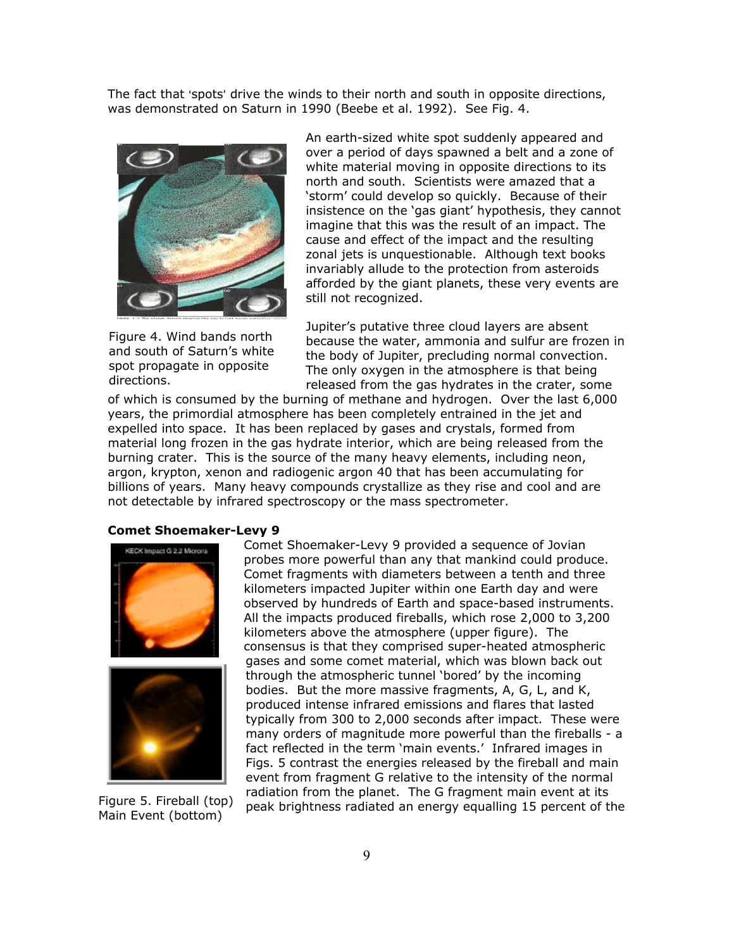The fact that 'spots' drive the winds to their north and south in opposite directions, was demonstrated on Saturn in 1990 (Beebe et al. 1992). See Fig. 4.



Figure 4. Wind bands north and south of Saturn's white spot propagate in opposite directions.

An earth-sized white spot suddenly appeared and over a period of days spawned a belt and a zone of white material moving in opposite directions to its north and south. Scientists were amazed that a 'storm' could develop so quickly. Because of their insistence on the 'gas giant' hypothesis, they cannot imagine that this was the result of an impact. The cause and effect of the impact and the resulting zonal jets is unquestionable. Although text books invariably allude to the protection from asteroids afforded by the giant planets, these very events are still not recognized.

Jupiter's putative three cloud layers are absent because the water, ammonia and sulfur are frozen in the body of Jupiter, precluding normal convection. The only oxygen in the atmosphere is that being released from the gas hydrates in the crater, some

of which is consumed by the burning of methane and hydrogen. Over the last 6,000 years, the primordial atmosphere has been completely entrained in the jet and expelled into space. It has been replaced by gases and crystals, formed from material long frozen in the gas hydrate interior, which are being released from the burning crater. This is the source of the many heavy elements, including neon, argon, krypton, xenon and radiogenic argon 40 that has been accumulating for billions of years. Many heavy compounds crystallize as they rise and cool and are not detectable by infrared spectroscopy or the mass spectrometer.

#### **Comet Shoemaker-Levy 9**





Figure 5. Fireball (top) Main Event (bottom)

Comet Shoemaker-Levy 9 provided a sequence of Jovian probes more powerful than any that mankind could produce. Comet fragments with diameters between a tenth and three kilometers impacted Jupiter within one Earth day and were observed by hundreds of Earth and space-based instruments. All the impacts produced fireballs, which rose 2,000 to 3,200 kilometers above the atmosphere (upper figure). The consensus is that they comprised super-heated atmospheric gases and some comet material, which was blown back out through the atmospheric tunnel 'bored' by the incoming bodies. But the more massive fragments, A, G, L, and K, produced intense infrared emissions and flares that lasted typically from 300 to 2,000 seconds after impact. These were many orders of magnitude more powerful than the fireballs - a fact reflected in the term 'main events.' Infrared images in Figs. 5 contrast the energies released by the fireball and main event from fragment G relative to the intensity of the normal radiation from the planet. The G fragment main event at its peak brightness radiated an energy equalling 15 percent of the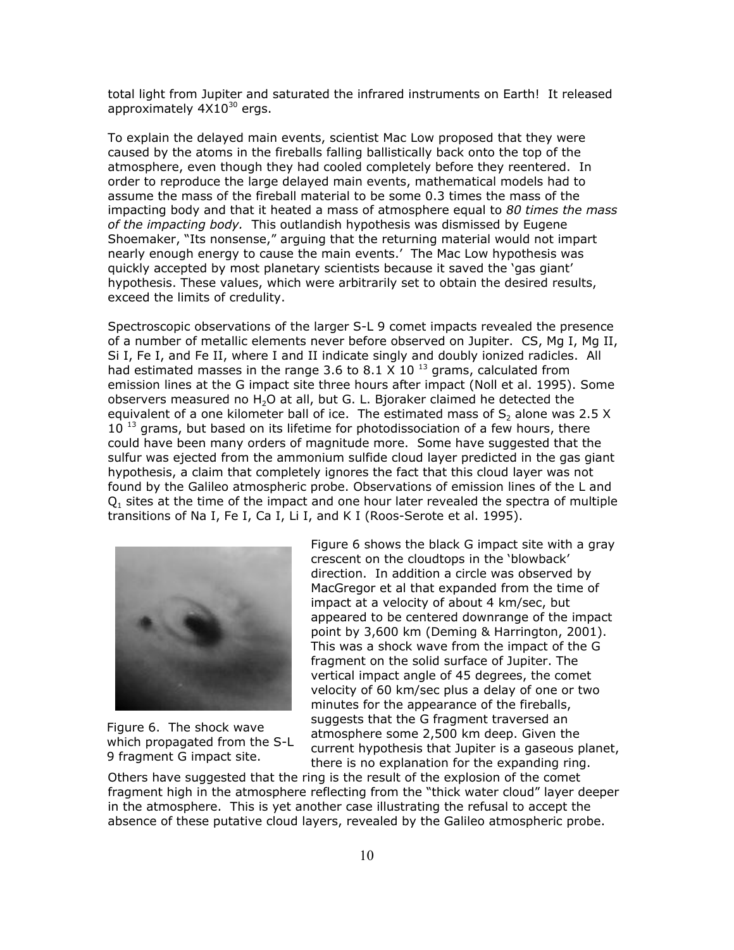total light from Jupiter and saturated the infrared instruments on Earth! It released approximately  $4X10^{30}$  ergs.

To explain the delayed main events, scientist Mac Low proposed that they were caused by the atoms in the fireballs falling ballistically back onto the top of the atmosphere, even though they had cooled completely before they reentered. In order to reproduce the large delayed main events, mathematical models had to assume the mass of the fireball material to be some 0.3 times the mass of the impacting body and that it heated a mass of atmosphere equal to *80 times the mass of the impacting body.* This outlandish hypothesis was dismissed by Eugene Shoemaker, "Its nonsense," arguing that the returning material would not impart nearly enough energy to cause the main events.' The Mac Low hypothesis was quickly accepted by most planetary scientists because it saved the 'gas giant' hypothesis. These values, which were arbitrarily set to obtain the desired results, exceed the limits of credulity.

Spectroscopic observations of the larger S-L 9 comet impacts revealed the presence of a number of metallic elements never before observed on Jupiter. CS, Mg I, Mg II, Si I, Fe I, and Fe II, where I and II indicate singly and doubly ionized radicles. All had estimated masses in the range 3.6 to 8.1  $\times$  10 <sup>13</sup> grams, calculated from emission lines at the G impact site three hours after impact (Noll et al. 1995). Some observers measured no  $H_2O$  at all, but G. L. Bjoraker claimed he detected the equivalent of a one kilometer ball of ice. The estimated mass of  $S<sub>2</sub>$  alone was 2.5 X  $10<sup>13</sup>$  grams, but based on its lifetime for photodissociation of a few hours, there could have been many orders of magnitude more. Some have suggested that the sulfur was ejected from the ammonium sulfide cloud layer predicted in the gas giant hypothesis, a claim that completely ignores the fact that this cloud layer was not found by the Galileo atmospheric probe. Observations of emission lines of the L and  $Q<sub>1</sub>$  sites at the time of the impact and one hour later revealed the spectra of multiple transitions of Na I, Fe I, Ca I, Li I, and K I (Roos-Serote et al. 1995).



Figure 6. The shock wave which propagated from the S-L 9 fragment G impact site.

Figure 6 shows the black G impact site with a gray crescent on the cloudtops in the 'blowback' direction. In addition a circle was observed by MacGregor et al that expanded from the time of impact at a velocity of about 4 km/sec, but appeared to be centered downrange of the impact point by 3,600 km (Deming & Harrington, 2001). This was a shock wave from the impact of the G fragment on the solid surface of Jupiter. The vertical impact angle of 45 degrees, the comet velocity of 60 km/sec plus a delay of one or two minutes for the appearance of the fireballs, suggests that the G fragment traversed an atmosphere some 2,500 km deep. Given the current hypothesis that Jupiter is a gaseous planet, there is no explanation for the expanding ring.

Others have suggested that the ring is the result of the explosion of the comet fragment high in the atmosphere reflecting from the "thick water cloud" layer deeper in the atmosphere. This is yet another case illustrating the refusal to accept the absence of these putative cloud layers, revealed by the Galileo atmospheric probe.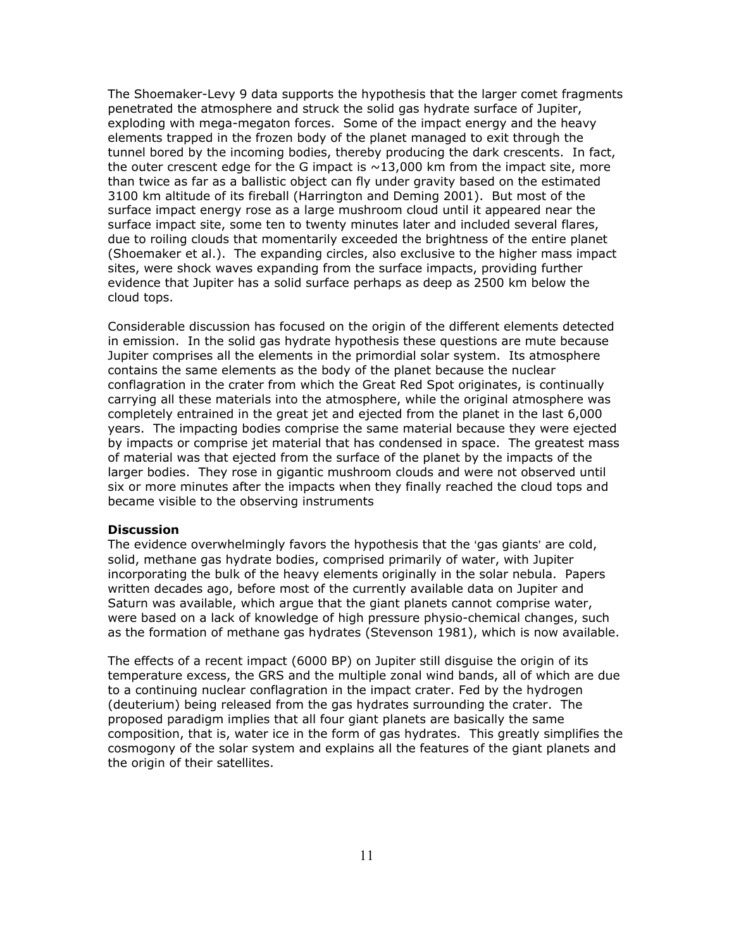The Shoemaker-Levy 9 data supports the hypothesis that the larger comet fragments penetrated the atmosphere and struck the solid gas hydrate surface of Jupiter, exploding with mega-megaton forces. Some of the impact energy and the heavy elements trapped in the frozen body of the planet managed to exit through the tunnel bored by the incoming bodies, thereby producing the dark crescents. In fact, the outer crescent edge for the G impact is  $\sim$ 13,000 km from the impact site, more than twice as far as a ballistic object can fly under gravity based on the estimated 3100 km altitude of its fireball (Harrington and Deming 2001). But most of the surface impact energy rose as a large mushroom cloud until it appeared near the surface impact site, some ten to twenty minutes later and included several flares, due to roiling clouds that momentarily exceeded the brightness of the entire planet (Shoemaker et al.). The expanding circles, also exclusive to the higher mass impact sites, were shock waves expanding from the surface impacts, providing further evidence that Jupiter has a solid surface perhaps as deep as 2500 km below the cloud tops.

Considerable discussion has focused on the origin of the different elements detected in emission. In the solid gas hydrate hypothesis these questions are mute because Jupiter comprises all the elements in the primordial solar system. Its atmosphere contains the same elements as the body of the planet because the nuclear conflagration in the crater from which the Great Red Spot originates, is continually carrying all these materials into the atmosphere, while the original atmosphere was completely entrained in the great jet and ejected from the planet in the last 6,000 years. The impacting bodies comprise the same material because they were ejected by impacts or comprise jet material that has condensed in space. The greatest mass of material was that ejected from the surface of the planet by the impacts of the larger bodies. They rose in gigantic mushroom clouds and were not observed until six or more minutes after the impacts when they finally reached the cloud tops and became visible to the observing instruments

#### **Discussion**

The evidence overwhelmingly favors the hypothesis that the 'gas giants' are cold, solid, methane gas hydrate bodies, comprised primarily of water, with Jupiter incorporating the bulk of the heavy elements originally in the solar nebula. Papers written decades ago, before most of the currently available data on Jupiter and Saturn was available, which argue that the giant planets cannot comprise water, were based on a lack of knowledge of high pressure physio-chemical changes, such as the formation of methane gas hydrates (Stevenson 1981), which is now available.

The effects of a recent impact (6000 BP) on Jupiter still disguise the origin of its temperature excess, the GRS and the multiple zonal wind bands, all of which are due to a continuing nuclear conflagration in the impact crater. Fed by the hydrogen (deuterium) being released from the gas hydrates surrounding the crater. The proposed paradigm implies that all four giant planets are basically the same composition, that is, water ice in the form of gas hydrates. This greatly simplifies the cosmogony of the solar system and explains all the features of the giant planets and the origin of their satellites.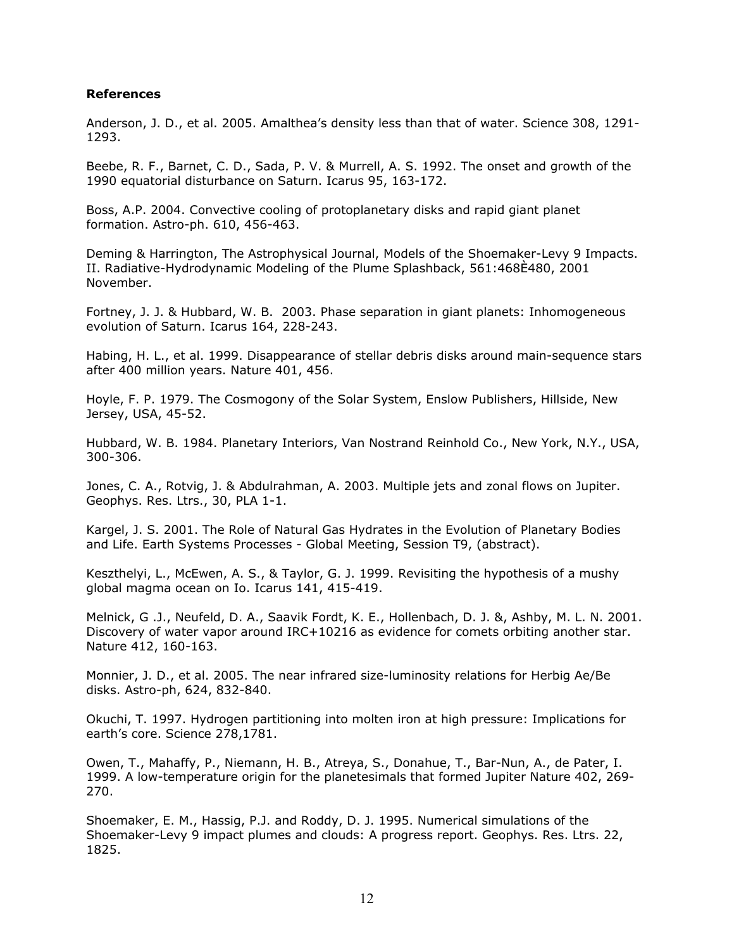# **References**

Anderson, J. D., et al. 2005. Amalthea's density less than that of water. Science 308, 1291- 1293.

Beebe, R. F., Barnet, C. D., Sada, P. V. & Murrell, A. S. 1992. The onset and growth of the 1990 equatorial disturbance on Saturn. Icarus 95, 163-172.

Boss, A.P. 2004. Convective cooling of protoplanetary disks and rapid giant planet formation. Astro-ph. 610, 456-463.

Deming & Harrington, The Astrophysical Journal, Models of the Shoemaker-Levy 9 Impacts. II. Radiative-Hydrodynamic Modeling of the Plume Splashback, 561:468È480, 2001 November.

Fortney, J. J. & Hubbard, W. B. 2003. Phase separation in giant planets: Inhomogeneous evolution of Saturn. Icarus 164, 228-243.

Habing, H. L., et al. 1999. Disappearance of stellar debris disks around main-sequence stars after 400 million years. Nature 401, 456.

Hoyle, F. P. 1979. The Cosmogony of the Solar System, Enslow Publishers, Hillside, New Jersey, USA, 45-52.

Hubbard, W. B. 1984. Planetary Interiors, Van Nostrand Reinhold Co., New York, N.Y., USA, 300-306.

Jones, C. A., Rotvig, J. & Abdulrahman, A. 2003. Multiple jets and zonal flows on Jupiter. Geophys. Res. Ltrs., 30, PLA 1-1.

Kargel, J. S. 2001. The Role of Natural Gas Hydrates in the Evolution of Planetary Bodies and Life. Earth Systems Processes - Global Meeting, Session T9, (abstract).

Keszthelyi, L., McEwen, A. S., & Taylor, G. J. 1999. Revisiting the hypothesis of a mushy global magma ocean on Io. Icarus 141, 415-419.

Melnick, G .J., Neufeld, D. A., Saavik Fordt, K. E., Hollenbach, D. J. &, Ashby, M. L. N. 2001. Discovery of water vapor around IRC+10216 as evidence for comets orbiting another star. Nature 412, 160-163.

Monnier, J. D., et al. 2005. The near infrared size-luminosity relations for Herbig Ae/Be disks. Astro-ph, 624, 832-840.

Okuchi, T. 1997. Hydrogen partitioning into molten iron at high pressure: Implications for earth's core. Science 278,1781.

Owen, T., Mahaffy, P., Niemann, H. B., Atreya, S., Donahue, T., Bar-Nun, A., de Pater, I. 1999. A low-temperature origin for the planetesimals that formed Jupiter Nature 402, 269- 270.

Shoemaker, E. M., Hassig, P.J. and Roddy, D. J. 1995. Numerical simulations of the Shoemaker-Levy 9 impact plumes and clouds: A progress report. Geophys. Res. Ltrs. 22, 1825.